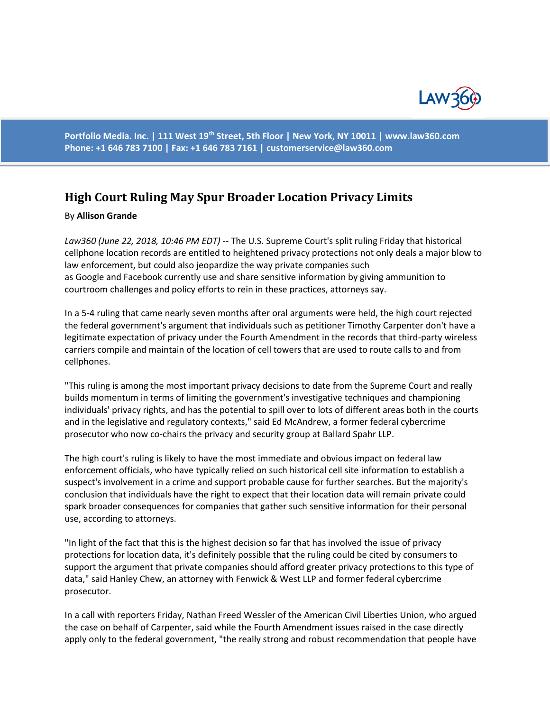

**Portfolio Media. Inc. | 111 West 19th Street, 5th Floor | New York, NY 10011 | www.law360.com Phone: +1 646 783 7100 | Fax: +1 646 783 7161 | [customerservice@law360.com](mailto:customerservice@law360.com)**

## **High Court Ruling May Spur Broader Location Privacy Limits**

## By **Allison Grande**

*Law360 (June 22, 2018, 10:46 PM EDT) --* The U.S. Supreme Court's split ruling Friday that historical cellphone location records are entitled to heightened privacy protections not only deals a major blow to law enforcement, but could also jeopardize the way private companies such as Google and Facebook currently use and share sensitive information by giving ammunition to courtroom challenges and policy efforts to rein in these practices, attorneys say.

In a 5-4 ruling that came nearly seven months after oral arguments were held, the high court rejected the federal government's argument that individuals such as petitioner Timothy Carpenter don't have a legitimate expectation of privacy under the Fourth Amendment in the records that third-party wireless carriers compile and maintain of the location of cell towers that are used to route calls to and from cellphones.

"This ruling is among the most important privacy decisions to date from the Supreme Court and really builds momentum in terms of limiting the government's investigative techniques and championing individuals' privacy rights, and has the potential to spill over to lots of different areas both in the courts and in the legislative and regulatory contexts," said Ed McAndrew, a former federal cybercrime prosecutor who now co-chairs the privacy and security group at Ballard Spahr LLP.

The high court's ruling is likely to have the most immediate and obvious impact on federal law enforcement officials, who have typically relied on such historical cell site information to establish a suspect's involvement in a crime and support probable cause for further searches. But the majority's conclusion that individuals have the right to expect that their location data will remain private could spark broader consequences for companies that gather such sensitive information for their personal use, according to attorneys.

"In light of the fact that this is the highest decision so far that has involved the issue of privacy protections for location data, it's definitely possible that the ruling could be cited by consumers to support the argument that private companies should afford greater privacy protections to this type of data," said Hanley Chew, an attorney with Fenwick & West LLP and former federal cybercrime prosecutor.

In a call with reporters Friday, Nathan Freed Wessler of the American Civil Liberties Union, who argued the case on behalf of Carpenter, said while the Fourth Amendment issues raised in the case directly apply only to the federal government, "the really strong and robust recommendation that people have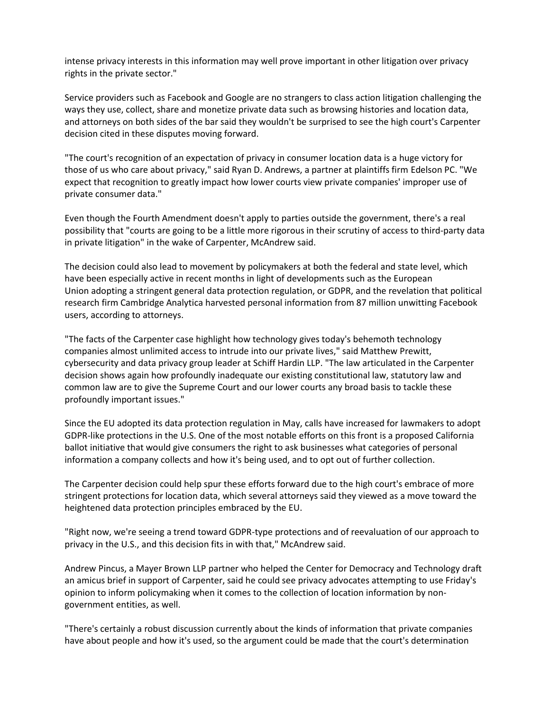intense privacy interests in this information may well prove important in other litigation over privacy rights in the private sector."

Service providers such as Facebook and Google are no strangers to class action litigation challenging the ways they use, collect, share and monetize private data such as browsing histories and location data, and attorneys on both sides of the bar said they wouldn't be surprised to see the high court's Carpenter decision cited in these disputes moving forward.

"The court's recognition of an expectation of privacy in consumer location data is a huge victory for those of us who care about privacy," said Ryan D. Andrews, a partner at plaintiffs firm Edelson PC. "We expect that recognition to greatly impact how lower courts view private companies' improper use of private consumer data."

Even though the Fourth Amendment doesn't apply to parties outside the government, there's a real possibility that "courts are going to be a little more rigorous in their scrutiny of access to third-party data in private litigation" in the wake of Carpenter, McAndrew said.

The decision could also lead to movement by policymakers at both the federal and state level, which have been especially active in recent months in light of developments such as the European Union adopting a stringent general data protection regulation, or GDPR, and the revelation that political research firm Cambridge Analytica harvested personal information from 87 million unwitting Facebook users, according to attorneys.

"The facts of the Carpenter case highlight how technology gives today's behemoth technology companies almost unlimited access to intrude into our private lives," said Matthew Prewitt, cybersecurity and data privacy group leader at Schiff Hardin LLP. "The law articulated in the Carpenter decision shows again how profoundly inadequate our existing constitutional law, statutory law and common law are to give the Supreme Court and our lower courts any broad basis to tackle these profoundly important issues."

Since the EU adopted its data protection regulation in May, calls have increased for lawmakers to adopt GDPR-like protections in the U.S. One of the most notable efforts on this front is a proposed California ballot initiative that would give consumers the right to ask businesses what categories of personal information a company collects and how it's being used, and to opt out of further collection.

The Carpenter decision could help spur these efforts forward due to the high court's embrace of more stringent protections for location data, which several attorneys said they viewed as a move toward the heightened data protection principles embraced by the EU.

"Right now, we're seeing a trend toward GDPR-type protections and of reevaluation of our approach to privacy in the U.S., and this decision fits in with that," McAndrew said.

Andrew Pincus, a Mayer Brown LLP partner who helped the Center for Democracy and Technology draft an amicus brief in support of Carpenter, said he could see privacy advocates attempting to use Friday's opinion to inform policymaking when it comes to the collection of location information by nongovernment entities, as well.

"There's certainly a robust discussion currently about the kinds of information that private companies have about people and how it's used, so the argument could be made that the court's determination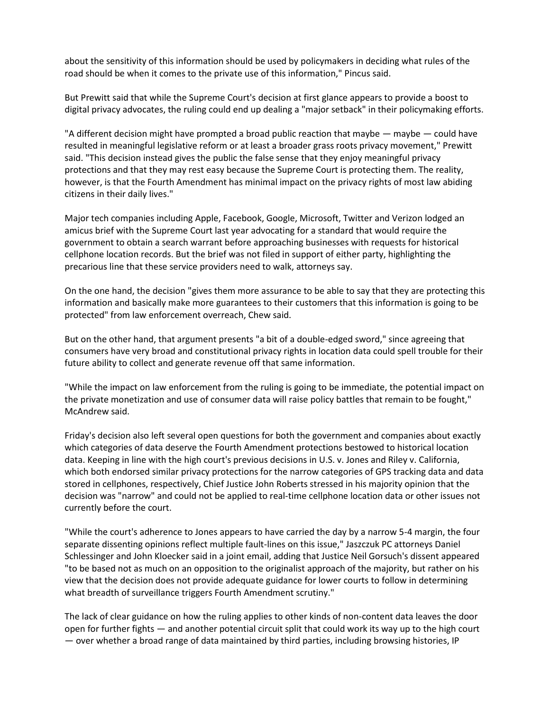about the sensitivity of this information should be used by policymakers in deciding what rules of the road should be when it comes to the private use of this information," Pincus said.

But Prewitt said that while the Supreme Court's decision at first glance appears to provide a boost to digital privacy advocates, the ruling could end up dealing a "major setback" in their policymaking efforts.

"A different decision might have prompted a broad public reaction that maybe — maybe — could have resulted in meaningful legislative reform or at least a broader grass roots privacy movement," Prewitt said. "This decision instead gives the public the false sense that they enjoy meaningful privacy protections and that they may rest easy because the Supreme Court is protecting them. The reality, however, is that the Fourth Amendment has minimal impact on the privacy rights of most law abiding citizens in their daily lives."

Major tech companies including Apple, Facebook, Google, Microsoft, Twitter and Verizon lodged an amicus brief with the Supreme Court last year advocating for a standard that would require the government to obtain a search warrant before approaching businesses with requests for historical cellphone location records. But the brief was not filed in support of either party, highlighting the precarious line that these service providers need to walk, attorneys say.

On the one hand, the decision "gives them more assurance to be able to say that they are protecting this information and basically make more guarantees to their customers that this information is going to be protected" from law enforcement overreach, Chew said.

But on the other hand, that argument presents "a bit of a double-edged sword," since agreeing that consumers have very broad and constitutional privacy rights in location data could spell trouble for their future ability to collect and generate revenue off that same information.

"While the impact on law enforcement from the ruling is going to be immediate, the potential impact on the private monetization and use of consumer data will raise policy battles that remain to be fought," McAndrew said.

Friday's decision also left several open questions for both the government and companies about exactly which categories of data deserve the Fourth Amendment protections bestowed to historical location data. Keeping in line with the high court's previous decisions in U.S. v. Jones and Riley v. California, which both endorsed similar privacy protections for the narrow categories of GPS tracking data and data stored in cellphones, respectively, Chief Justice John Roberts stressed in his majority opinion that the decision was "narrow" and could not be applied to real-time cellphone location data or other issues not currently before the court.

"While the court's adherence to Jones appears to have carried the day by a narrow 5-4 margin, the four separate dissenting opinions reflect multiple fault-lines on this issue," Jaszczuk PC attorneys Daniel Schlessinger and John Kloecker said in a joint email, adding that Justice Neil Gorsuch's dissent appeared "to be based not as much on an opposition to the originalist approach of the majority, but rather on his view that the decision does not provide adequate guidance for lower courts to follow in determining what breadth of surveillance triggers Fourth Amendment scrutiny."

The lack of clear guidance on how the ruling applies to other kinds of non-content data leaves the door open for further fights — and another potential circuit split that could work its way up to the high court — over whether a broad range of data maintained by third parties, including browsing histories, IP